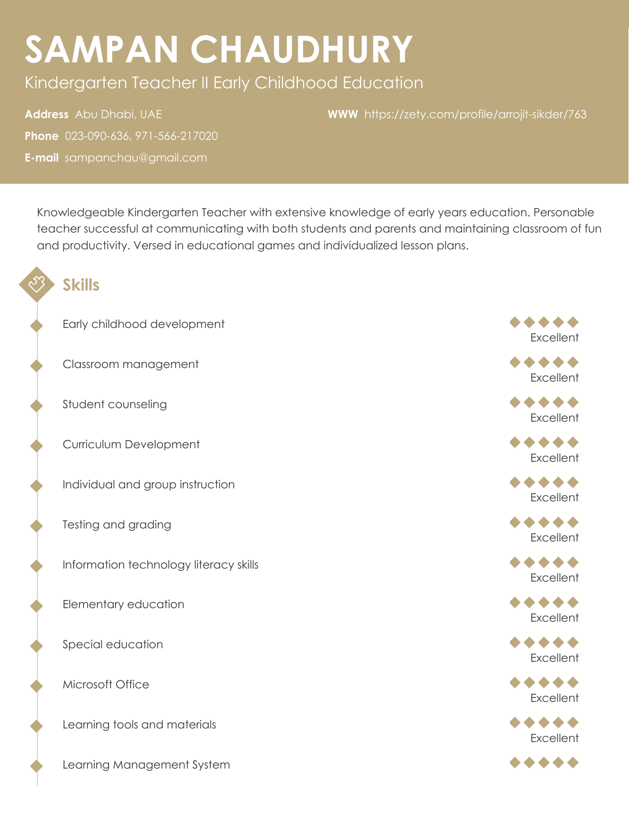# **SAMPAN CHAUDHURY**

Kindergarten Teacher II Early Childhood Education

**Address** Abu Dhabi, UAE **Phone** 023-090-636, 971-566-217020 **E-mail** sampanchau@gmail.com

**WWW** <https://zety.com/profile/arrojit-sikder/763>

Knowledgeable Kindergarten Teacher with extensive knowledge of early years education. Personable teacher successful at communicating with both students and parents and maintaining classroom of fun and productivity. Versed in educational games and individualized lesson plans.

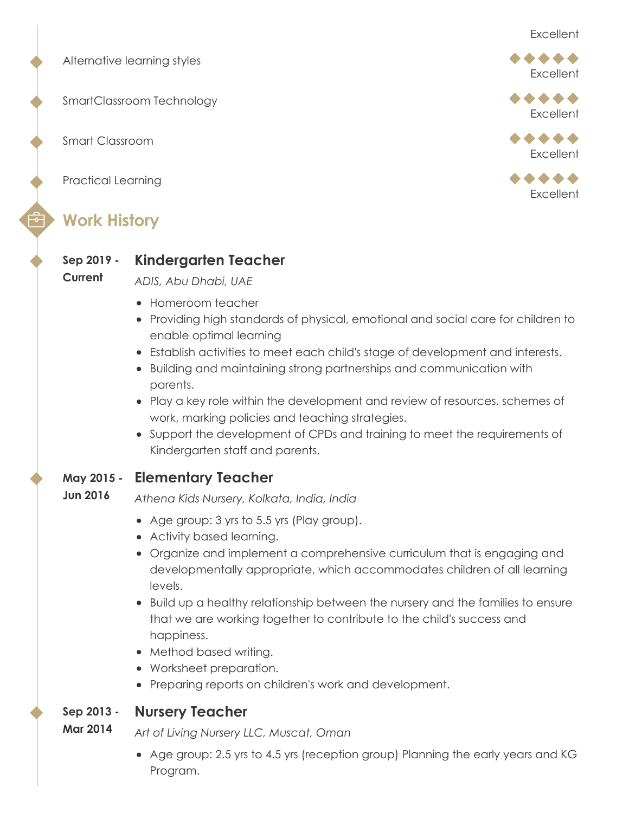Alternative learning styles

SmartClassroom Technology

Smart Classroom

Practical Learning

### **Work History**

#### **Sep 2019 - Kindergarten Teacher**

**Current** *ADIS, Abu Dhabi, UAE*

- Homeroom teacher
- Providing high standards of physical, emotional and social care for children to enable optimal learning
- Establish activities to meet each child's stage of development and interests.
- Building and maintaining strong partnerships and communication with parents.
- Play a key role within the development and review of resources, schemes of work, marking policies and teaching strategies.
- Support the development of CPDs and training to meet the requirements of Kindergarten staff and parents.
- **May 2015 - Elementary Teacher**
- **Jun 2016** *Athena Kids Nursery, Kolkata, India, India*
	- Age group: 3 yrs to 5.5 yrs (Play group).
	- Activity based learning.
	- Organize and implement a comprehensive curriculum that is engaging and developmentally appropriate, which accommodates children of all learning levels.
	- Build up a healthy relationship between the nursery and the families to ensure that we are working together to contribute to the child's success and happiness.
	- Method based writing.
	- Worksheet preparation.
	- Preparing reports on children's work and development.

#### **Sep 2013 - Nursery Teacher**

- **Mar 2014** *Art of Living Nursery LLC, Muscat, Oman*
	- Age group: 2.5 yrs to 4.5 yrs (reception group) Planning the early years and KG Program.



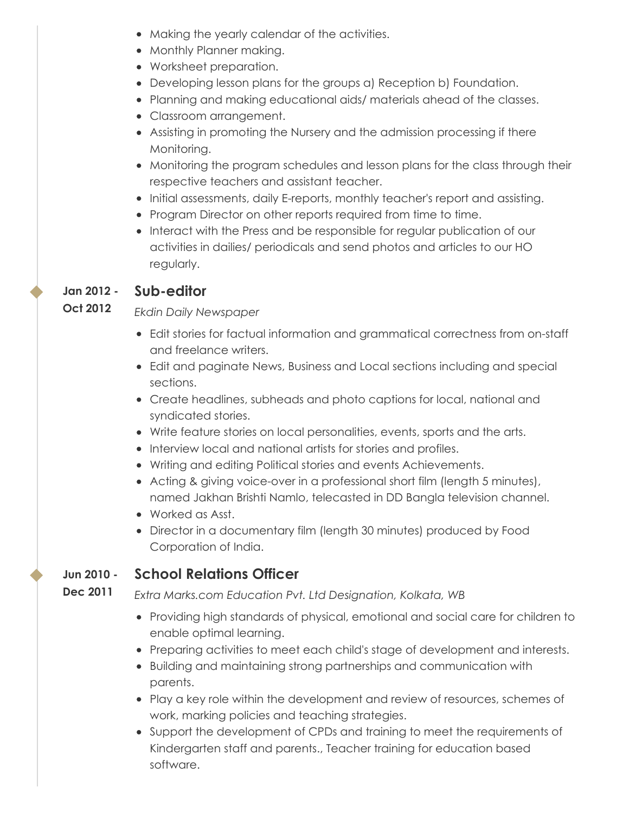- Making the yearly calendar of the activities.
- Monthly Planner making.
- Worksheet preparation.
- Developing lesson plans for the groups a) Reception b) Foundation.
- Planning and making educational aids/ materials ahead of the classes.
- Classroom arrangement.
- Assisting in promoting the Nursery and the admission processing if there Monitoring.
- Monitoring the program schedules and lesson plans for the class through their respective teachers and assistant teacher.
- Initial assessments, daily E-reports, monthly teacher's report and assisting.
- Program Director on other reports required from time to time.
- Interact with the Press and be responsible for regular publication of our activities in dailies/ periodicals and send photos and articles to our HO regularly.

#### **Jan 2012 - Sub-editor**

#### **Oct 2012** *Ekdin Daily Newspaper*

- Edit stories for factual information and grammatical correctness from on-staff and freelance writers.
- Edit and paginate News, Business and Local sections including and special sections.
- Create headlines, subheads and photo captions for local, national and syndicated stories.
- Write feature stories on local personalities, events, sports and the arts.
- Interview local and national artists for stories and profiles.
- Writing and editing Political stories and events Achievements.
- Acting & giving voice-over in a professional short film (length 5 minutes), named Jakhan Brishti Namlo, telecasted in DD Bangla television channel.
- Worked as Asst.
- Director in a documentary film (length 30 minutes) produced by Food Corporation of India.

#### **Jun 2010 - School Relations Officer**

**Dec 2011** *Extra Marks.com Education Pvt. Ltd Designation, Kolkata, WB*

- Providing high standards of physical, emotional and social care for children to enable optimal learning.
- Preparing activities to meet each child's stage of development and interests.
- Building and maintaining strong partnerships and communication with parents.
- Play a key role within the development and review of resources, schemes of work, marking policies and teaching strategies.
- Support the development of CPDs and training to meet the requirements of Kindergarten staff and parents., Teacher training for education based software.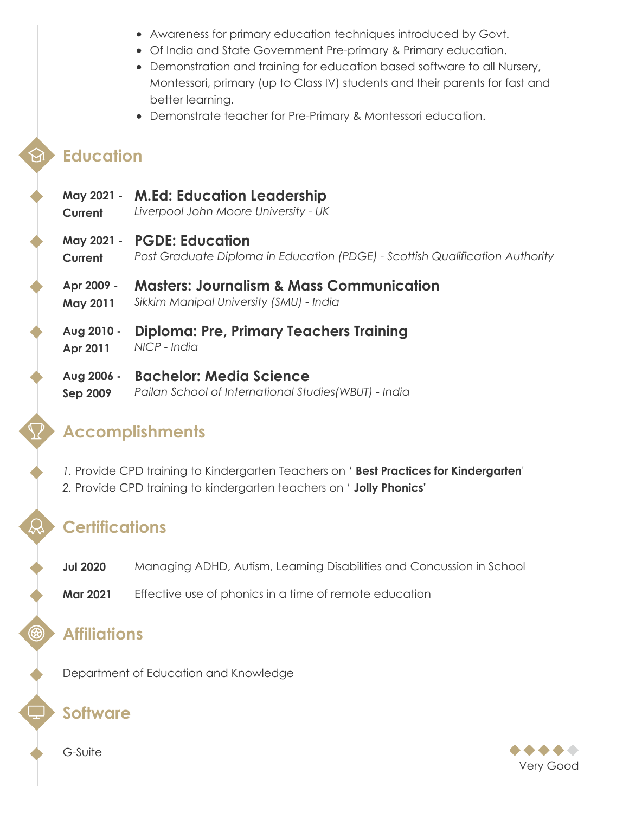- Awareness for primary education techniques introduced by Govt.
- Of India and State Government Pre-primary & Primary education.
- Demonstration and training for education based software to all Nursery, Montessori, primary (up to Class IV) students and their parents for fast and better learning.
- Demonstrate teacher for Pre-Primary & Montessori education.

## **Education**

- **May 2021 - Current M.Ed: Education Leadership** *Liverpool John Moore University - UK*
- **May 2021 - PGDE: Education**
- **Current** *Post Graduate Diploma in Education (PDGE) - Scottish Qualification Authority*
- **Apr 2009 - May 2011 Masters: Journalism & Mass Communication** *Sikkim Manipal University (SMU) - India*
- **Aug 2010 - Apr 2011 Diploma: Pre, Primary Teachers Training** *NICP - India*
- **Aug 2006 - Sep 2009 Bachelor: Media Science** *Pailan School of International Studies(WBUT) - India*

# **Accomplishments**

- *1.* Provide CPD training to Kindergarten Teachers on ' **Best Practices for Kindergarten**'
- *2.* Provide CPD training to kindergarten teachers on ' **Jolly Phonics'**

# **Certifications**

- **Jul 2020** Managing ADHD, Autism, Learning Disabilities and Concussion in School
- **Mar 2021** Effective use of phonics in a time of remote education

### **Affiliations**

 $\circledR$ 

Department of Education and Knowledge

### **Software**

G-Suite